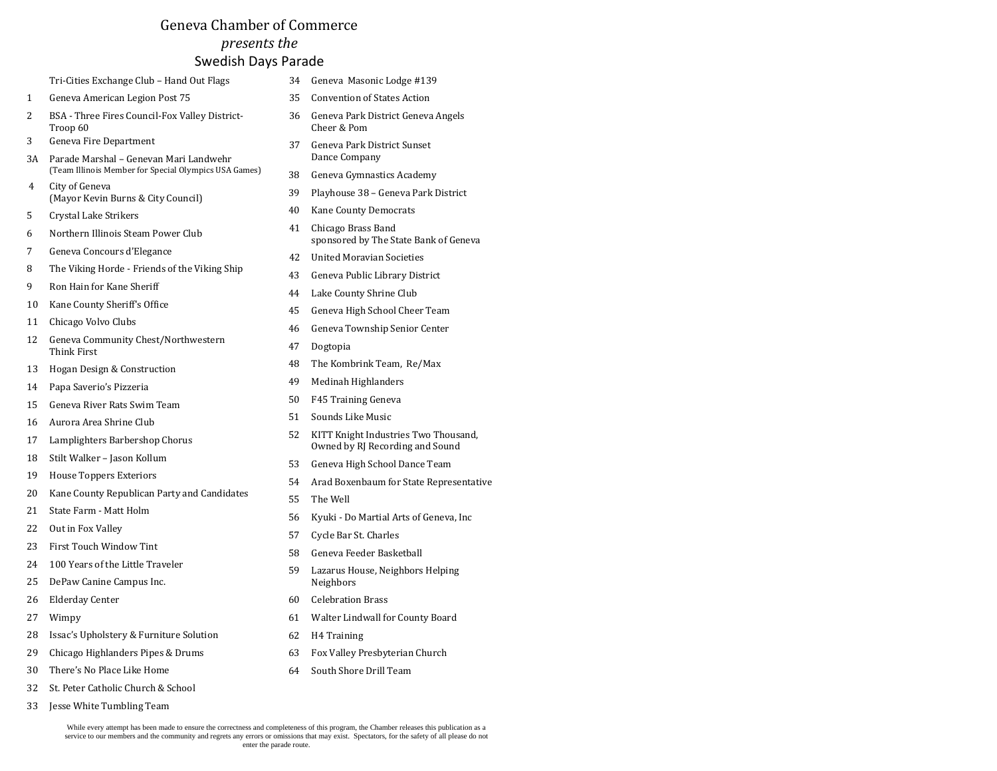## Geneva Chamber of Commerce *presents the* Swedish Days Parade

| Tri-Cities Exchange Club - Hand Out Flags |  |
|-------------------------------------------|--|
|-------------------------------------------|--|

- Geneva American Legion Post 75
- BSA Three Fires Council-Fox Valley District-Troop 60
- Geneva Fire Department
- 3A Parade Marshal Genevan Mari Landwehr (Team Illinois Member for Special Olympics USA Games)
- City of Geneva (Mayor Kevin Burns & City Council)
- Crystal Lake Strikers
- Northern Illinois Steam Power Club
- Geneva Concours d'Elegance
- The Viking Horde Friends of the Viking Ship
- Ron Hain for Kane Sheriff
- Kane County Sheriff's Office
- Chicago Volvo Clubs
- Geneva Community Chest/Northwestern Think First
- Hogan Design & Construction
- Papa Saverio's Pizzeria
- Geneva River Rats Swim Team
- Aurora Area Shrine Club
- Lamplighters Barbershop Chorus
- Stilt Walker Jason Kollum
- House Toppers Exteriors
- Kane County Republican Party and Candidates
- State Farm Matt Holm
- Out in Fox Valley
- First Touch Window Tint
- 100 Years of the Little Traveler
- DePaw Canine Campus Inc.
- Elderday Center
- Wimpy
- 28 Issac's Upholstery & Furniture Solution
- Chicago Highlanders Pipes & Drums
- There's No Place Like Home
- St. Peter Catholic Church & School
- Jesse White Tumbling Team
- Geneva Masonic Lodge #139
- Convention of States Action
- Geneva Park District Geneva Angels Cheer & Pom
- Geneva Park District Sunset Dance Company
- Geneva Gymnastics Academy
- Playhouse 38 Geneva Park District
- Kane County Democrats
- Chicago Brass Band sponsored by The State Bank of Geneva
- United Moravian Societies
- Geneva Public Library District
- Lake County Shrine Club
- Geneva High School Cheer Team
- Geneva Township Senior Center
- Dogtopia
- The Kombrink Team, Re/Max
- Medinah Highlanders
- F45 Training Geneva
- Sounds Like Music
- KITT Knight Industries Two Thousand, Owned by RJ Recording and Sound
- Geneva High School Dance Team
- Arad Boxenbaum for State Representative
- The Well
- Kyuki Do Martial Arts of Geneva, Inc
- Cycle Bar St. Charles
- Geneva Feeder Basketball
- Lazarus House, Neighbors Helping Neighbors
- Celebration Brass
- Walter Lindwall for County Board
- H4 Training
- Fox Valley Presbyterian Church
- South Shore Drill Team

While every attempt has been made to ensure the correctness and completeness of this program, the Chamber releases this publication as a service to our members and the community and regrets any errors or omissions that may exist. Spectators, for the safety of all please do not enter the parade route.